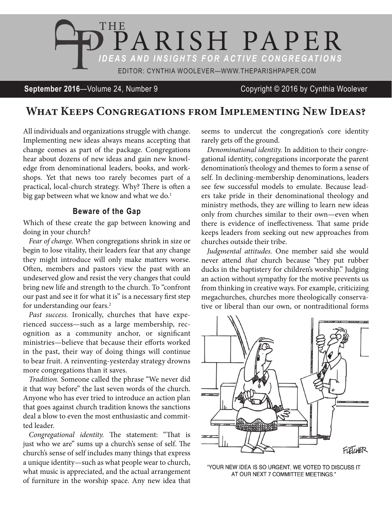

**September 2016**—Volume 24, Number 9 Copyright © 2016 by Cynthia Woolever

## **What Keeps Congregations from Implementing New Ideas?**

All individuals and organizations struggle with change. Implementing new ideas always means accepting that change comes as part of the package. Congregations hear about dozens of new ideas and gain new knowledge from denominational leaders, books, and workshops. Yet that news too rarely becomes part of a practical, local-church strategy. Why? There is often a big gap between what we know and what we do.<sup>1</sup>

## **Beware of the Gap**

Which of these create the gap between knowing and doing in your church?

*Fear of change.* When congregations shrink in size or begin to lose vitality, their leaders fear that any change they might introduce will only make matters worse. Often, members and pastors view the past with an undeserved glow and resist the very changes that could bring new life and strength to the church. To "confront our past and see it for what it is" is a necessary first step for understanding our fears.<sup>2</sup>

*Past success.* Ironically, churches that have experienced success—such as a large membership, recognition as a community anchor, or significant ministries—believe that because their efforts worked in the past, their way of doing things will continue to bear fruit. A reinventing-yesterday strategy drowns more congregations than it saves.

*Tradition.* Someone called the phrase "We never did it that way before" the last seven words of the church. Anyone who has ever tried to introduce an action plan that goes against church tradition knows the sanctions deal a blow to even the most enthusiastic and committed leader.

*Congregational identity.* The statement: "That is just who we are" sums up a church's sense of self. The church's sense of self includes many things that express a unique identity—such as what people wear to church, what music is appreciated, and the actual arrangement of furniture in the worship space. Any new idea that

seems to undercut the congregation's core identity rarely gets off the ground.

*Denominational identity.* In addition to their congregational identity, congregations incorporate the parent denomination's theology and themes to form a sense of self. In declining-membership denominations, leaders see few successful models to emulate. Because leaders take pride in their denominational theology and ministry methods, they are willing to learn new ideas only from churches similar to their own—even when there is evidence of ineffectiveness. That same pride keeps leaders from seeking out new approaches from churches outside their tribe.

*Judgmental attitudes.* One member said she would never attend *that* church because "they put rubber ducks in the baptistery for children's worship." Judging an action without sympathy for the motive prevents us from thinking in creative ways. For example, criticizing megachurches, churches more theologically conservative or liberal than our own, or nontraditional forms



"YOUR NEW IDEA IS SO URGENT, WE VOTED TO DISCUSS IT AT OUR NEXT 7 COMMITTEE MEETINGS."